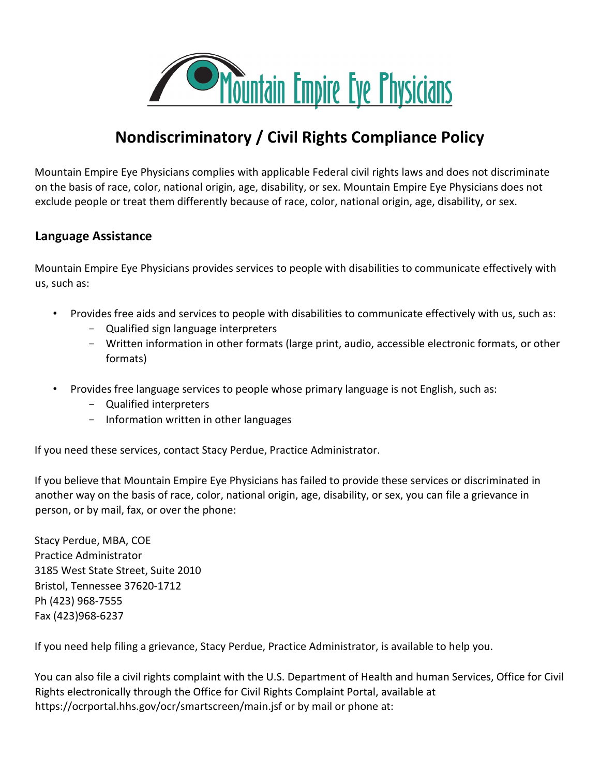

# **Nondiscriminatory / Civil Rights Compliance Policy**

Mountain Empire Eye Physicians complies with applicable Federal civil rights laws and does not discriminate on the basis of race, color, national origin, age, disability, or sex. Mountain Empire Eye Physicians does not exclude people or treat them differently because of race, color, national origin, age, disability, or sex.

## **Language Assistance**

Mountain Empire Eye Physicians provides services to people with disabilities to communicate effectively with us, such as:

- Provides free aids and services to people with disabilities to communicate effectively with us, such as:
	- Qualified sign language interpreters
	- Written information in other formats (large print, audio, accessible electronic formats, or other formats)
- Provides free language services to people whose primary language is not English, such as:
	- Qualified interpreters
	- Information written in other languages

If you need these services, contact Stacy Perdue, Practice Administrator.

If you believe that Mountain Empire Eye Physicians has failed to provide these services or discriminated in another way on the basis of race, color, national origin, age, disability, or sex, you can file a grievance in person, or by mail, fax, or over the phone:

Stacy Perdue, MBA, COE Practice Administrator 3185 West State Street, Suite 2010 Bristol, Tennessee 37620-1712 Ph (423) 968-7555 Fax (423)968-6237

If you need help filing a grievance, Stacy Perdue, Practice Administrator, is available to help you.

You can also file a civil rights complaint with the U.S. Department of Health and human Services, Office for Civil Rights electronically through the Office for Civil Rights Complaint Portal, available at https://ocrportal.hhs.gov/ocr/smartscreen/main.jsf or by mail or phone at: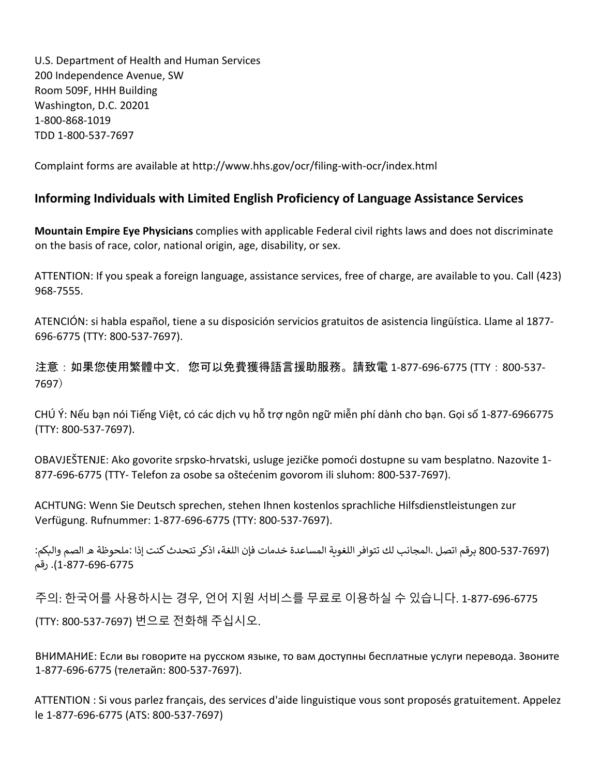U.S. Department of Health and Human Services 200 Independence Avenue, SW Room 509F, HHH Building Washington, D.C. 20201 1-800-868-1019 TDD 1-800-537-7697

Complaint forms are available at http://www.hhs.gov/ocr/filing-with-ocr/index.html

## **Informing Individuals with Limited English Proficiency of Language Assistance Services**

**Mountain Empire Eye Physicians** complies with applicable Federal civil rights laws and does not discriminate on the basis of race, color, national origin, age, disability, or sex.

ATTENTION: If you speak a foreign language, assistance services, free of charge, are available to you. Call (423) 968-7555.

ATENCIÓN: si habla español, tiene a su disposición servicios gratuitos de asistencia lingüística. Llame al 1877- 696-6775 (TTY: 800-537-7697).

注意:如果您使用繁體中文,您可以免費獲得語言援助服務。請致電 1-877-696-6775 (TTY:800-537- 7697)

CHÚ Ý: Nếu bạn nói Tiếng Việt, có các dịch vụ hỗ trợ ngôn ngữ miễn phí dành cho bạn. Gọi số 1-877-6966775 (TTY: 800-537-7697).

OBAVJEŠTENJE: Ako govorite srpsko-hrvatski, usluge jezičke pomoći dostupne su vam besplatno. Nazovite 1- 877-696-6775 (TTY- Telefon za osobe sa oštećenim govorom ili sluhom: 800-537-7697).

ACHTUNG: Wenn Sie Deutsch sprechen, stehen Ihnen kostenlos sprachliche Hilfsdienstleistungen zur Verfügung. Rufnummer: 1-877-696-6775 (TTY: 800-537-7697).

(537-7697 برقم اتصل .المجانب لك تتوافر اللغوية المساعدة خدمات فإن اللغة، اذكر تتحدث كنت إذا :ملحوظة ه الصم والبكم: 1-877-696-6775). رقم

주의: 한국어를 사용하시는 경우, 언어 지원 서비스를 무료로 이용하실 수 있습니다. 1-877-696-6775 (TTY: 800-537-7697) 번으로 전화해 주십시오.

ВНИМАНИЕ: Если вы говорите на русском языке, то вам доступны бесплатные услуги перевода. Звоните 1-877-696-6775 (телетайп: 800-537-7697).

ATTENTION : Si vous parlez français, des services d'aide linguistique vous sont proposés gratuitement. Appelez le 1-877-696-6775 (ATS: 800-537-7697)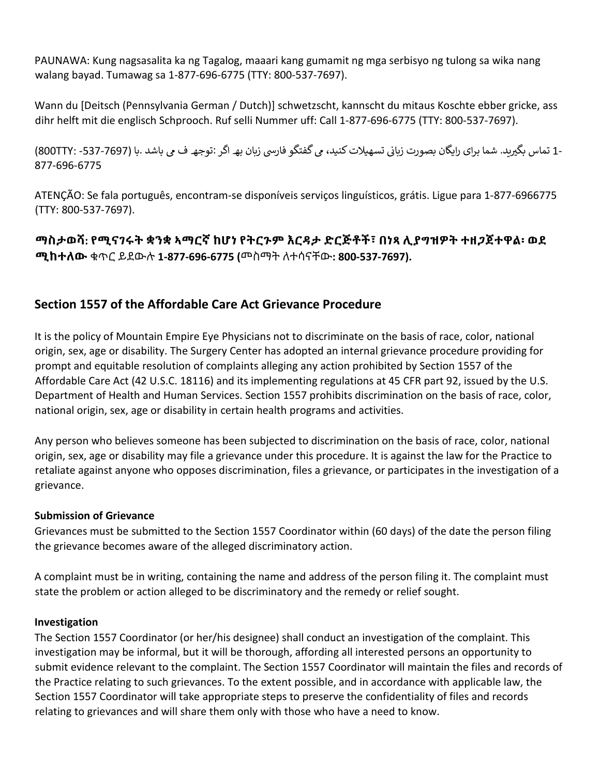PAUNAWA: Kung nagsasalita ka ng Tagalog, maaari kang gumamit ng mga serbisyo ng tulong sa wika nang walang bayad. Tumawag sa 1-877-696-6775 (TTY: 800-537-7697).

Wann du [Deitsch (Pennsylvania German / Dutch)] schwetzscht, kannscht du mitaus Koschte ebber gricke, ass dihr helft mit die englisch Schprooch. Ruf selli Nummer uff: Call 1-877-696-6775 (TTY: 800-537-7697).

-1 تماس بگیرید. شما برای رایگان بصورت زیانی تسهیلات کنید، می گفتگو فارسی زیان بھـ اگر :توجھـ ف می باشد .با (7697-537- :800TTY) 877-696-6775

ATENÇÃO: Se fala português, encontram-se disponíveis serviços linguísticos, grátis. Ligue para 1-877-6966775 (TTY: 800-537-7697).

**ማስታወሻ: የሚናገሩት ቋንቋ ኣማርኛ ከሆነ የትርጉም እርዳታ ድርጅቶች፣ በነጻ ሊያግዝዎት ተዘጋጀተዋል፡ ወደ ሚከተለው** ቁጥር ይደውሉ **1-877-696-6775 (**መስማት ለተሳናቸው**: 800-537-7697).**

## **Section 1557 of the Affordable Care Act Grievance Procedure**

It is the policy of Mountain Empire Eye Physicians not to discriminate on the basis of race, color, national origin, sex, age or disability. The Surgery Center has adopted an internal grievance procedure providing for prompt and equitable resolution of complaints alleging any action prohibited by Section 1557 of the Affordable Care Act (42 U.S.C. 18116) and its implementing regulations at 45 CFR part 92, issued by the U.S. Department of Health and Human Services. Section 1557 prohibits discrimination on the basis of race, color, national origin, sex, age or disability in certain health programs and activities.

Any person who believes someone has been subjected to discrimination on the basis of race, color, national origin, sex, age or disability may file a grievance under this procedure. It is against the law for the Practice to retaliate against anyone who opposes discrimination, files a grievance, or participates in the investigation of a grievance.

#### **Submission of Grievance**

Grievances must be submitted to the Section 1557 Coordinator within (60 days) of the date the person filing the grievance becomes aware of the alleged discriminatory action.

A complaint must be in writing, containing the name and address of the person filing it. The complaint must state the problem or action alleged to be discriminatory and the remedy or relief sought.

#### **Investigation**

The Section 1557 Coordinator (or her/his designee) shall conduct an investigation of the complaint. This investigation may be informal, but it will be thorough, affording all interested persons an opportunity to submit evidence relevant to the complaint. The Section 1557 Coordinator will maintain the files and records of the Practice relating to such grievances. To the extent possible, and in accordance with applicable law, the Section 1557 Coordinator will take appropriate steps to preserve the confidentiality of files and records relating to grievances and will share them only with those who have a need to know.